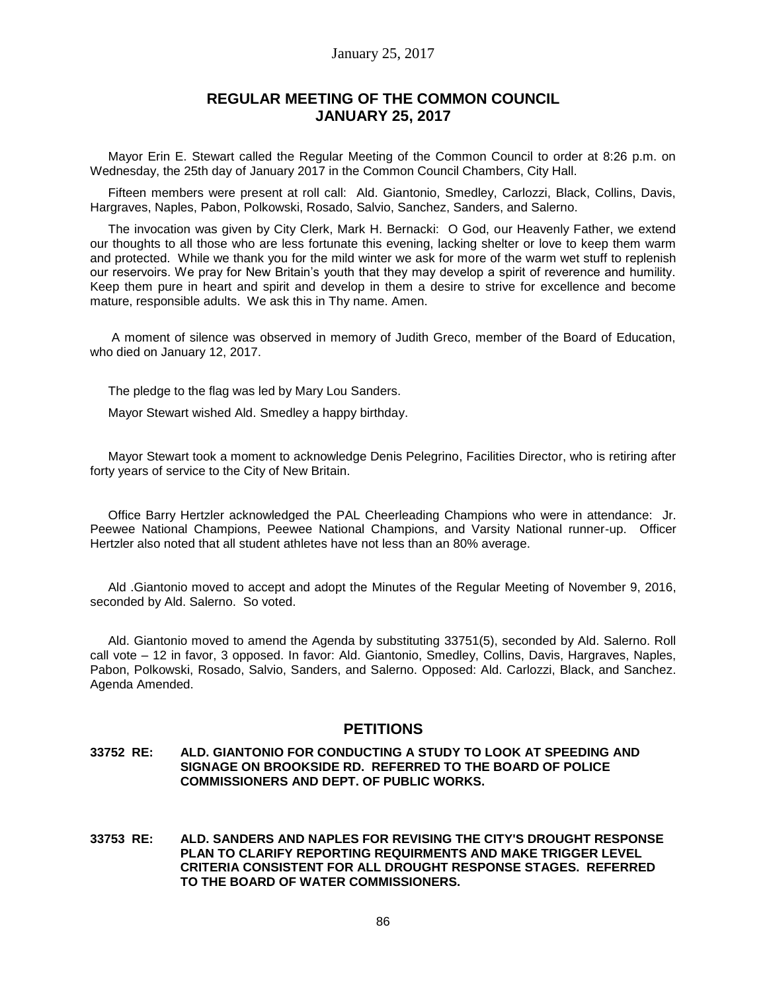### January 25, 2017

# **REGULAR MEETING OF THE COMMON COUNCIL JANUARY 25, 2017**

Mayor Erin E. Stewart called the Regular Meeting of the Common Council to order at 8:26 p.m. on Wednesday, the 25th day of January 2017 in the Common Council Chambers, City Hall.

Fifteen members were present at roll call: Ald. Giantonio, Smedley, Carlozzi, Black, Collins, Davis, Hargraves, Naples, Pabon, Polkowski, Rosado, Salvio, Sanchez, Sanders, and Salerno.

The invocation was given by City Clerk, Mark H. Bernacki: O God, our Heavenly Father, we extend our thoughts to all those who are less fortunate this evening, lacking shelter or love to keep them warm and protected. While we thank you for the mild winter we ask for more of the warm wet stuff to replenish our reservoirs. We pray for New Britain's youth that they may develop a spirit of reverence and humility. Keep them pure in heart and spirit and develop in them a desire to strive for excellence and become mature, responsible adults. We ask this in Thy name. Amen.

A moment of silence was observed in memory of Judith Greco, member of the Board of Education, who died on January 12, 2017.

The pledge to the flag was led by Mary Lou Sanders.

Mayor Stewart wished Ald. Smedley a happy birthday.

Mayor Stewart took a moment to acknowledge Denis Pelegrino, Facilities Director, who is retiring after forty years of service to the City of New Britain.

Office Barry Hertzler acknowledged the PAL Cheerleading Champions who were in attendance: Jr. Peewee National Champions, Peewee National Champions, and Varsity National runner-up. Officer Hertzler also noted that all student athletes have not less than an 80% average.

Ald .Giantonio moved to accept and adopt the Minutes of the Regular Meeting of November 9, 2016, seconded by Ald. Salerno. So voted.

Ald. Giantonio moved to amend the Agenda by substituting 33751(5), seconded by Ald. Salerno. Roll call vote – 12 in favor, 3 opposed. In favor: Ald. Giantonio, Smedley, Collins, Davis, Hargraves, Naples, Pabon, Polkowski, Rosado, Salvio, Sanders, and Salerno. Opposed: Ald. Carlozzi, Black, and Sanchez. Agenda Amended.

### **PETITIONS**

#### **33752 RE: ALD. GIANTONIO FOR CONDUCTING A STUDY TO LOOK AT SPEEDING AND SIGNAGE ON BROOKSIDE RD. REFERRED TO THE BOARD OF POLICE COMMISSIONERS AND DEPT. OF PUBLIC WORKS.**

**33753 RE: ALD. SANDERS AND NAPLES FOR REVISING THE CITY'S DROUGHT RESPONSE PLAN TO CLARIFY REPORTING REQUIRMENTS AND MAKE TRIGGER LEVEL CRITERIA CONSISTENT FOR ALL DROUGHT RESPONSE STAGES. REFERRED TO THE BOARD OF WATER COMMISSIONERS.**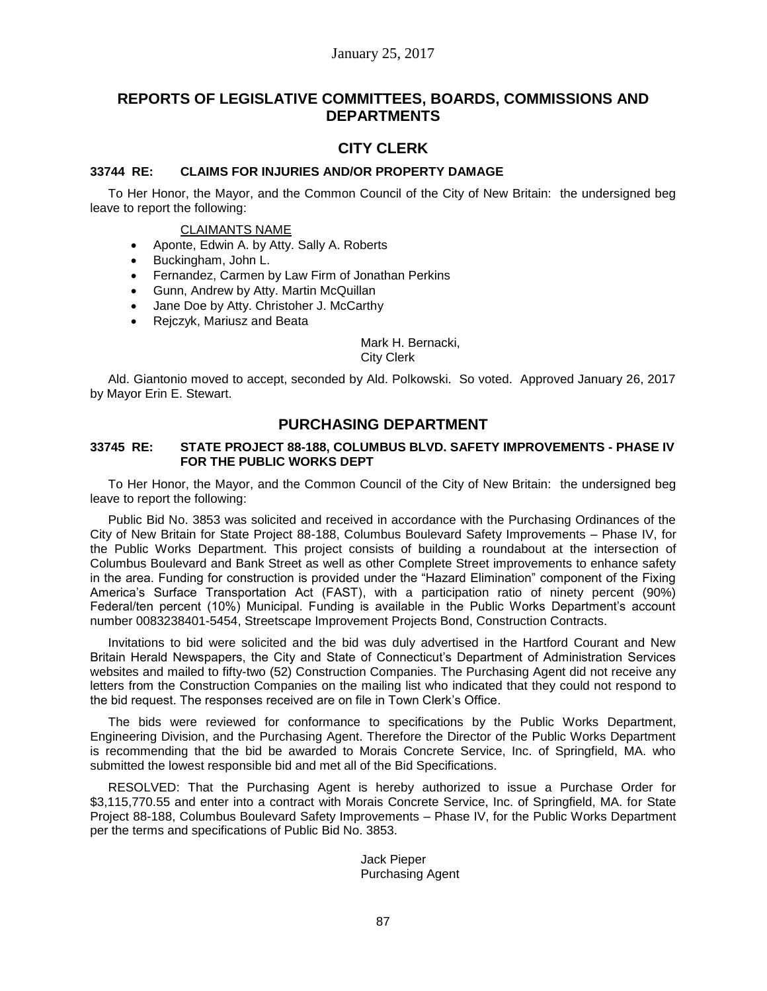# **REPORTS OF LEGISLATIVE COMMITTEES, BOARDS, COMMISSIONS AND DEPARTMENTS**

# **CITY CLERK**

### **33744 RE: CLAIMS FOR INJURIES AND/OR PROPERTY DAMAGE**

To Her Honor, the Mayor, and the Common Council of the City of New Britain: the undersigned beg leave to report the following:

### CLAIMANTS NAME

- Aponte, Edwin A. by Atty. Sally A. Roberts
- Buckingham, John L.
- Fernandez, Carmen by Law Firm of Jonathan Perkins
- Gunn, Andrew by Atty. Martin McQuillan
- Jane Doe by Atty. Christoher J. McCarthy
- Rejczyk, Mariusz and Beata

Mark H. Bernacki,

City Clerk

Ald. Giantonio moved to accept, seconded by Ald. Polkowski. So voted. Approved January 26, 2017 by Mayor Erin E. Stewart.

## **PURCHASING DEPARTMENT**

#### **33745 RE: STATE PROJECT 88-188, COLUMBUS BLVD. SAFETY IMPROVEMENTS - PHASE IV FOR THE PUBLIC WORKS DEPT**

To Her Honor, the Mayor, and the Common Council of the City of New Britain: the undersigned beg leave to report the following:

Public Bid No. 3853 was solicited and received in accordance with the Purchasing Ordinances of the City of New Britain for State Project 88-188, Columbus Boulevard Safety Improvements – Phase IV, for the Public Works Department. This project consists of building a roundabout at the intersection of Columbus Boulevard and Bank Street as well as other Complete Street improvements to enhance safety in the area. Funding for construction is provided under the "Hazard Elimination" component of the Fixing America's Surface Transportation Act (FAST), with a participation ratio of ninety percent (90%) Federal/ten percent (10%) Municipal. Funding is available in the Public Works Department's account number 0083238401-5454, Streetscape Improvement Projects Bond, Construction Contracts.

Invitations to bid were solicited and the bid was duly advertised in the Hartford Courant and New Britain Herald Newspapers, the City and State of Connecticut's Department of Administration Services websites and mailed to fifty-two (52) Construction Companies. The Purchasing Agent did not receive any letters from the Construction Companies on the mailing list who indicated that they could not respond to the bid request. The responses received are on file in Town Clerk's Office.

The bids were reviewed for conformance to specifications by the Public Works Department, Engineering Division, and the Purchasing Agent. Therefore the Director of the Public Works Department is recommending that the bid be awarded to Morais Concrete Service, Inc. of Springfield, MA. who submitted the lowest responsible bid and met all of the Bid Specifications.

RESOLVED: That the Purchasing Agent is hereby authorized to issue a Purchase Order for \$3,115,770.55 and enter into a contract with Morais Concrete Service, Inc. of Springfield, MA. for State Project 88-188, Columbus Boulevard Safety Improvements – Phase IV, for the Public Works Department per the terms and specifications of Public Bid No. 3853.

> Jack Pieper Purchasing Agent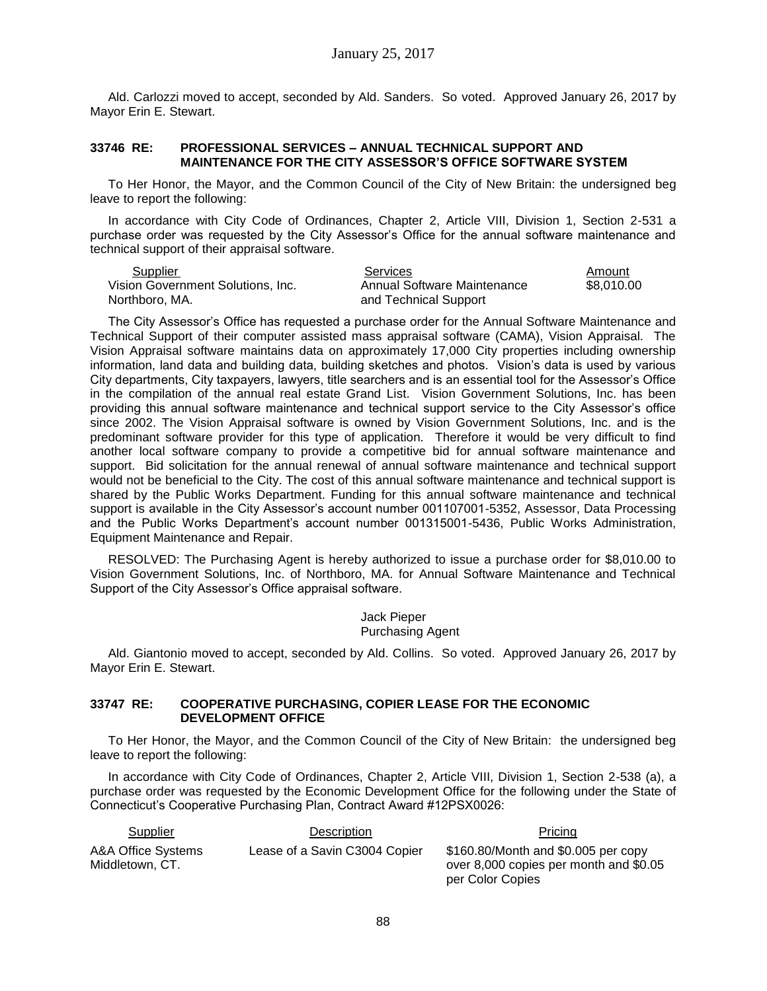Ald. Carlozzi moved to accept, seconded by Ald. Sanders. So voted. Approved January 26, 2017 by Mayor Erin E. Stewart.

### **33746 RE: PROFESSIONAL SERVICES – ANNUAL TECHNICAL SUPPORT AND MAINTENANCE FOR THE CITY ASSESSOR'S OFFICE SOFTWARE SYSTEM**

To Her Honor, the Mayor, and the Common Council of the City of New Britain: the undersigned beg leave to report the following:

In accordance with City Code of Ordinances, Chapter 2, Article VIII, Division 1, Section 2-531 a purchase order was requested by the City Assessor's Office for the annual software maintenance and technical support of their appraisal software.

Northboro, MA. and Technical Support

Supplier Contract Contract Contract Services Contract Contract Amount Amount Vision Government Solutions, Inc. Annual Software Maintenance \$8,010.00

The City Assessor's Office has requested a purchase order for the Annual Software Maintenance and Technical Support of their computer assisted mass appraisal software (CAMA), Vision Appraisal. The Vision Appraisal software maintains data on approximately 17,000 City properties including ownership information, land data and building data, building sketches and photos. Vision's data is used by various City departments, City taxpayers, lawyers, title searchers and is an essential tool for the Assessor's Office in the compilation of the annual real estate Grand List. Vision Government Solutions, Inc. has been providing this annual software maintenance and technical support service to the City Assessor's office since 2002. The Vision Appraisal software is owned by Vision Government Solutions, Inc. and is the predominant software provider for this type of application. Therefore it would be very difficult to find another local software company to provide a competitive bid for annual software maintenance and support. Bid solicitation for the annual renewal of annual software maintenance and technical support would not be beneficial to the City. The cost of this annual software maintenance and technical support is shared by the Public Works Department. Funding for this annual software maintenance and technical support is available in the City Assessor's account number 001107001-5352, Assessor, Data Processing and the Public Works Department's account number 001315001-5436, Public Works Administration, Equipment Maintenance and Repair.

RESOLVED: The Purchasing Agent is hereby authorized to issue a purchase order for \$8,010.00 to Vision Government Solutions, Inc. of Northboro, MA. for Annual Software Maintenance and Technical Support of the City Assessor's Office appraisal software.

> Jack Pieper Purchasing Agent

Ald. Giantonio moved to accept, seconded by Ald. Collins. So voted. Approved January 26, 2017 by Mayor Erin E. Stewart.

#### **33747 RE: COOPERATIVE PURCHASING, COPIER LEASE FOR THE ECONOMIC DEVELOPMENT OFFICE**

To Her Honor, the Mayor, and the Common Council of the City of New Britain: the undersigned beg leave to report the following:

In accordance with City Code of Ordinances, Chapter 2, Article VIII, Division 1, Section 2-538 (a), a purchase order was requested by the Economic Development Office for the following under the State of Connecticut's Cooperative Purchasing Plan, Contract Award #12PSX0026:

| Supplier                              | Description                   | <b>Pricing</b>                                                                                    |
|---------------------------------------|-------------------------------|---------------------------------------------------------------------------------------------------|
| A&A Office Systems<br>Middletown, CT. | Lease of a Savin C3004 Copier | \$160.80/Month and \$0.005 per copy<br>over 8,000 copies per month and \$0.05<br>per Color Copies |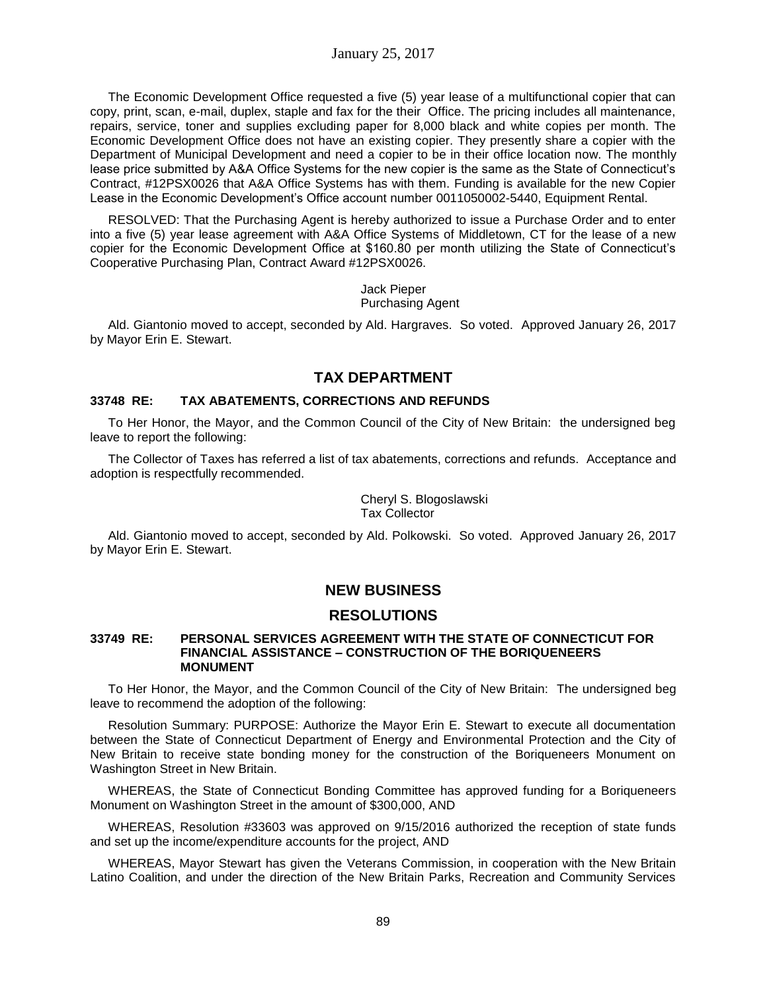The Economic Development Office requested a five (5) year lease of a multifunctional copier that can copy, print, scan, e-mail, duplex, staple and fax for the their Office. The pricing includes all maintenance, repairs, service, toner and supplies excluding paper for 8,000 black and white copies per month. The Economic Development Office does not have an existing copier. They presently share a copier with the Department of Municipal Development and need a copier to be in their office location now. The monthly lease price submitted by A&A Office Systems for the new copier is the same as the State of Connecticut's Contract, #12PSX0026 that A&A Office Systems has with them. Funding is available for the new Copier Lease in the Economic Development's Office account number 0011050002-5440, Equipment Rental.

RESOLVED: That the Purchasing Agent is hereby authorized to issue a Purchase Order and to enter into a five (5) year lease agreement with A&A Office Systems of Middletown, CT for the lease of a new copier for the Economic Development Office at \$160.80 per month utilizing the State of Connecticut's Cooperative Purchasing Plan, Contract Award #12PSX0026.

> Jack Pieper Purchasing Agent

Ald. Giantonio moved to accept, seconded by Ald. Hargraves. So voted. Approved January 26, 2017 by Mayor Erin E. Stewart.

# **TAX DEPARTMENT**

## **33748 RE: TAX ABATEMENTS, CORRECTIONS AND REFUNDS**

To Her Honor, the Mayor, and the Common Council of the City of New Britain: the undersigned beg leave to report the following:

The Collector of Taxes has referred a list of tax abatements, corrections and refunds. Acceptance and adoption is respectfully recommended.

> Cheryl S. Blogoslawski Tax Collector

Ald. Giantonio moved to accept, seconded by Ald. Polkowski. So voted. Approved January 26, 2017 by Mayor Erin E. Stewart.

# **NEW BUSINESS**

# **RESOLUTIONS**

#### **33749 RE: PERSONAL SERVICES AGREEMENT WITH THE STATE OF CONNECTICUT FOR FINANCIAL ASSISTANCE – CONSTRUCTION OF THE BORIQUENEERS MONUMENT**

To Her Honor, the Mayor, and the Common Council of the City of New Britain: The undersigned beg leave to recommend the adoption of the following:

Resolution Summary: PURPOSE: Authorize the Mayor Erin E. Stewart to execute all documentation between the State of Connecticut Department of Energy and Environmental Protection and the City of New Britain to receive state bonding money for the construction of the Boriqueneers Monument on Washington Street in New Britain.

WHEREAS, the State of Connecticut Bonding Committee has approved funding for a Boriqueneers Monument on Washington Street in the amount of \$300,000, AND

WHEREAS, Resolution #33603 was approved on 9/15/2016 authorized the reception of state funds and set up the income/expenditure accounts for the project, AND

WHEREAS, Mayor Stewart has given the Veterans Commission, in cooperation with the New Britain Latino Coalition, and under the direction of the New Britain Parks, Recreation and Community Services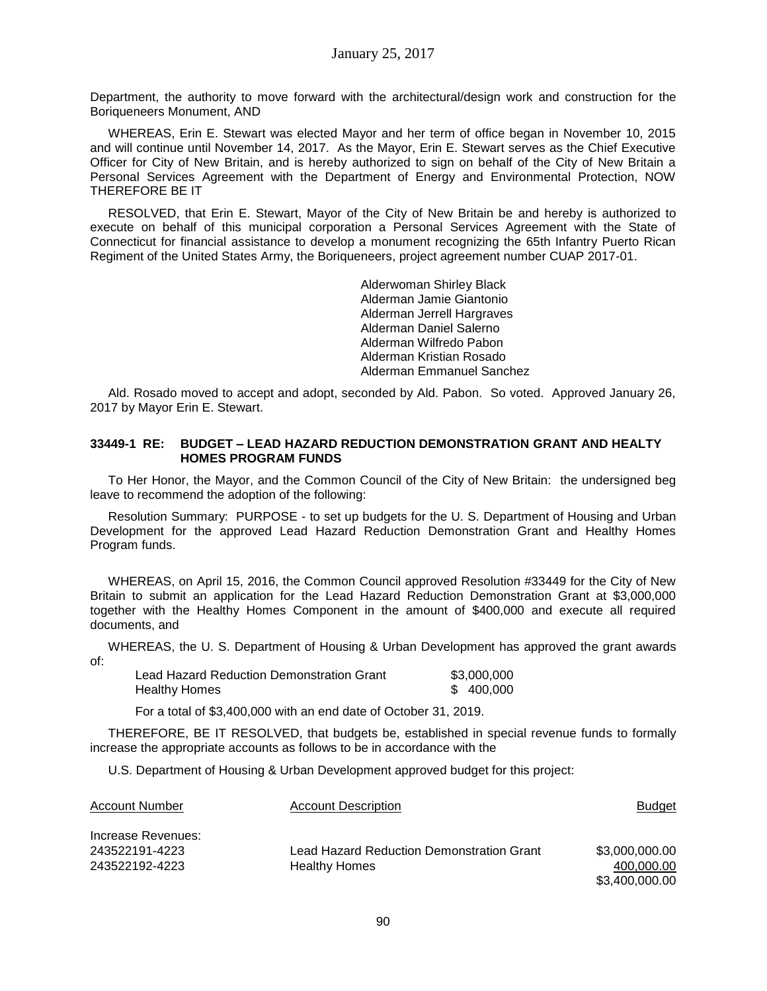Department, the authority to move forward with the architectural/design work and construction for the Boriqueneers Monument, AND

WHEREAS, Erin E. Stewart was elected Mayor and her term of office began in November 10, 2015 and will continue until November 14, 2017. As the Mayor, Erin E. Stewart serves as the Chief Executive Officer for City of New Britain, and is hereby authorized to sign on behalf of the City of New Britain a Personal Services Agreement with the Department of Energy and Environmental Protection, NOW THEREFORE BE IT

RESOLVED, that Erin E. Stewart, Mayor of the City of New Britain be and hereby is authorized to execute on behalf of this municipal corporation a Personal Services Agreement with the State of Connecticut for financial assistance to develop a monument recognizing the 65th Infantry Puerto Rican Regiment of the United States Army, the Boriqueneers, project agreement number CUAP 2017-01.

> Alderwoman Shirley Black Alderman Jamie Giantonio Alderman Jerrell Hargraves Alderman Daniel Salerno Alderman Wilfredo Pabon Alderman Kristian Rosado Alderman Emmanuel Sanchez

Ald. Rosado moved to accept and adopt, seconded by Ald. Pabon. So voted. Approved January 26, 2017 by Mayor Erin E. Stewart.

### **33449-1 RE: BUDGET – LEAD HAZARD REDUCTION DEMONSTRATION GRANT AND HEALTY HOMES PROGRAM FUNDS**

To Her Honor, the Mayor, and the Common Council of the City of New Britain: the undersigned beg leave to recommend the adoption of the following:

Resolution Summary: PURPOSE - to set up budgets for the U. S. Department of Housing and Urban Development for the approved Lead Hazard Reduction Demonstration Grant and Healthy Homes Program funds.

WHEREAS, on April 15, 2016, the Common Council approved Resolution #33449 for the City of New Britain to submit an application for the Lead Hazard Reduction Demonstration Grant at \$3,000,000 together with the Healthy Homes Component in the amount of \$400,000 and execute all required documents, and

WHEREAS, the U. S. Department of Housing & Urban Development has approved the grant awards of:

| Lead Hazard Reduction Demonstration Grant | \$3,000,000 |
|-------------------------------------------|-------------|
| Healthy Homes                             | \$400,000   |

For a total of \$3,400,000 with an end date of October 31, 2019.

THEREFORE, BE IT RESOLVED, that budgets be, established in special revenue funds to formally increase the appropriate accounts as follows to be in accordance with the

U.S. Department of Housing & Urban Development approved budget for this project:

| <b>Account Number</b> | <b>Account Description</b>                | Budget         |
|-----------------------|-------------------------------------------|----------------|
| Increase Revenues:    |                                           |                |
| 243522191-4223        | Lead Hazard Reduction Demonstration Grant | \$3,000,000.00 |
| 243522192-4223        | <b>Healthy Homes</b>                      | 400,000.00     |
|                       |                                           | \$3.400,000,00 |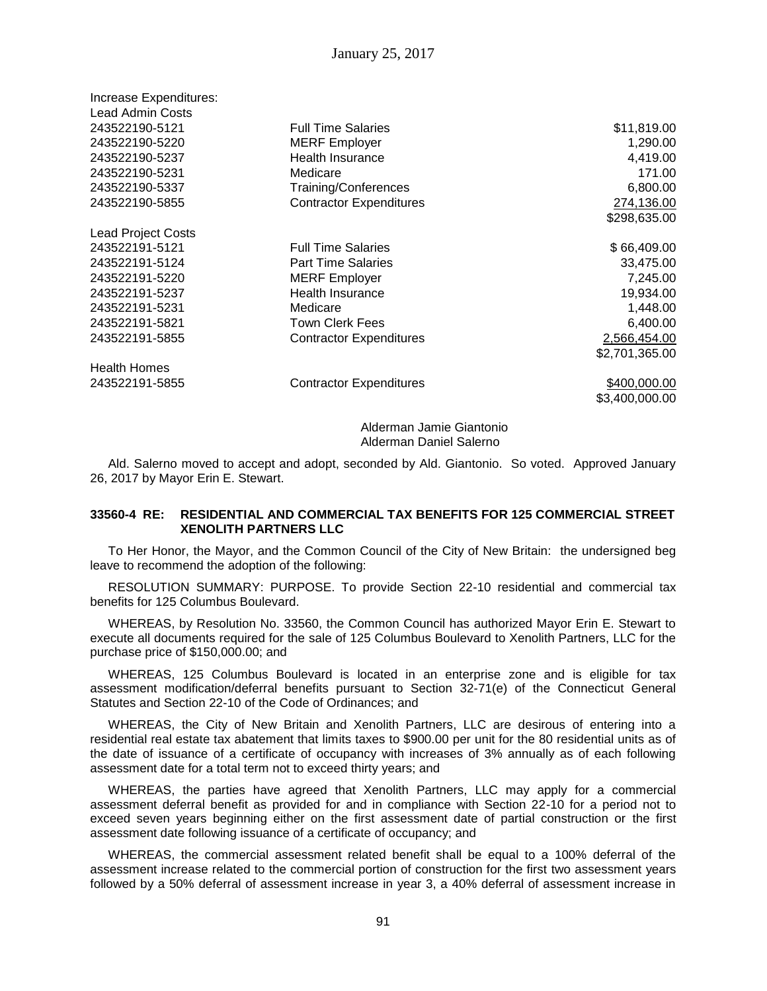| Increase Expenditures:    |                                |                |
|---------------------------|--------------------------------|----------------|
| <b>Lead Admin Costs</b>   |                                |                |
| 243522190-5121            | <b>Full Time Salaries</b>      | \$11,819.00    |
| 243522190-5220            | <b>MERF</b> Employer           | 1,290.00       |
| 243522190-5237            | <b>Health Insurance</b>        | 4,419.00       |
| 243522190-5231            | Medicare                       | 171.00         |
| 243522190-5337            | Training/Conferences           | 6,800.00       |
| 243522190-5855            | <b>Contractor Expenditures</b> | 274,136.00     |
|                           |                                | \$298,635.00   |
| <b>Lead Project Costs</b> |                                |                |
| 243522191-5121            | <b>Full Time Salaries</b>      | \$66,409.00    |
| 243522191-5124            | <b>Part Time Salaries</b>      | 33,475.00      |
| 243522191-5220            | <b>MERF</b> Employer           | 7,245.00       |
| 243522191-5237            | <b>Health Insurance</b>        | 19,934.00      |
| 243522191-5231            | Medicare                       | 1,448.00       |
| 243522191-5821            | Town Clerk Fees                | 6,400.00       |
| 243522191-5855            | <b>Contractor Expenditures</b> | 2,566,454.00   |
|                           |                                | \$2,701,365.00 |
| <b>Health Homes</b>       |                                |                |
| 243522191-5855            | <b>Contractor Expenditures</b> | \$400,000.00   |
|                           |                                | \$3,400,000.00 |

Alderman Jamie Giantonio Alderman Daniel Salerno

Ald. Salerno moved to accept and adopt, seconded by Ald. Giantonio. So voted. Approved January 26, 2017 by Mayor Erin E. Stewart.

### **33560-4 RE: RESIDENTIAL AND COMMERCIAL TAX BENEFITS FOR 125 COMMERCIAL STREET XENOLITH PARTNERS LLC**

To Her Honor, the Mayor, and the Common Council of the City of New Britain: the undersigned beg leave to recommend the adoption of the following:

RESOLUTION SUMMARY: PURPOSE. To provide Section 22-10 residential and commercial tax benefits for 125 Columbus Boulevard.

WHEREAS, by Resolution No. 33560, the Common Council has authorized Mayor Erin E. Stewart to execute all documents required for the sale of 125 Columbus Boulevard to Xenolith Partners, LLC for the purchase price of \$150,000.00; and

WHEREAS, 125 Columbus Boulevard is located in an enterprise zone and is eligible for tax assessment modification/deferral benefits pursuant to Section 32-71(e) of the Connecticut General Statutes and Section 22-10 of the Code of Ordinances; and

WHEREAS, the City of New Britain and Xenolith Partners, LLC are desirous of entering into a residential real estate tax abatement that limits taxes to \$900.00 per unit for the 80 residential units as of the date of issuance of a certificate of occupancy with increases of 3% annually as of each following assessment date for a total term not to exceed thirty years; and

WHEREAS, the parties have agreed that Xenolith Partners, LLC may apply for a commercial assessment deferral benefit as provided for and in compliance with Section 22-10 for a period not to exceed seven years beginning either on the first assessment date of partial construction or the first assessment date following issuance of a certificate of occupancy; and

WHEREAS, the commercial assessment related benefit shall be equal to a 100% deferral of the assessment increase related to the commercial portion of construction for the first two assessment years followed by a 50% deferral of assessment increase in year 3, a 40% deferral of assessment increase in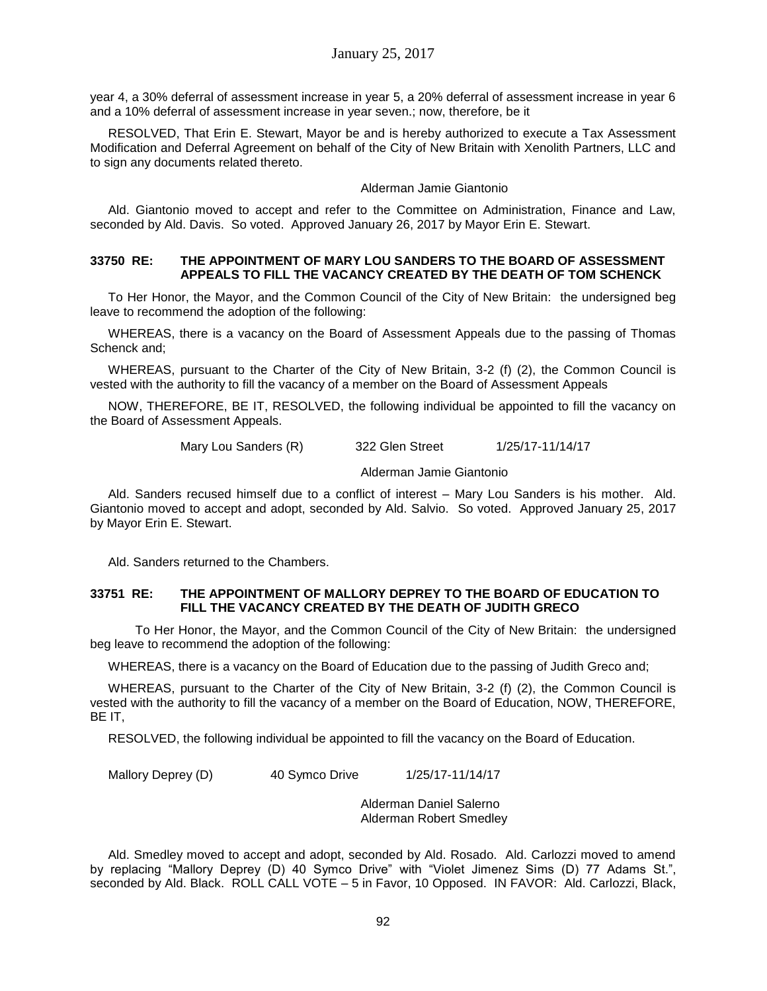year 4, a 30% deferral of assessment increase in year 5, a 20% deferral of assessment increase in year 6 and a 10% deferral of assessment increase in year seven.; now, therefore, be it

RESOLVED, That Erin E. Stewart, Mayor be and is hereby authorized to execute a Tax Assessment Modification and Deferral Agreement on behalf of the City of New Britain with Xenolith Partners, LLC and to sign any documents related thereto.

#### Alderman Jamie Giantonio

Ald. Giantonio moved to accept and refer to the Committee on Administration, Finance and Law, seconded by Ald. Davis. So voted. Approved January 26, 2017 by Mayor Erin E. Stewart.

### **33750 RE: THE APPOINTMENT OF MARY LOU SANDERS TO THE BOARD OF ASSESSMENT APPEALS TO FILL THE VACANCY CREATED BY THE DEATH OF TOM SCHENCK**

To Her Honor, the Mayor, and the Common Council of the City of New Britain: the undersigned beg leave to recommend the adoption of the following:

WHEREAS, there is a vacancy on the Board of Assessment Appeals due to the passing of Thomas Schenck and;

WHEREAS, pursuant to the Charter of the City of New Britain, 3-2 (f) (2), the Common Council is vested with the authority to fill the vacancy of a member on the Board of Assessment Appeals

NOW, THEREFORE, BE IT, RESOLVED, the following individual be appointed to fill the vacancy on the Board of Assessment Appeals.

Mary Lou Sanders (R) 322 Glen Street 1/25/17-11/14/17

Alderman Jamie Giantonio

Ald. Sanders recused himself due to a conflict of interest – Mary Lou Sanders is his mother. Ald. Giantonio moved to accept and adopt, seconded by Ald. Salvio. So voted. Approved January 25, 2017 by Mayor Erin E. Stewart.

Ald. Sanders returned to the Chambers.

### **33751 RE: THE APPOINTMENT OF MALLORY DEPREY TO THE BOARD OF EDUCATION TO FILL THE VACANCY CREATED BY THE DEATH OF JUDITH GRECO**

To Her Honor, the Mayor, and the Common Council of the City of New Britain: the undersigned beg leave to recommend the adoption of the following:

WHEREAS, there is a vacancy on the Board of Education due to the passing of Judith Greco and;

WHEREAS, pursuant to the Charter of the City of New Britain, 3-2 (f) (2), the Common Council is vested with the authority to fill the vacancy of a member on the Board of Education, NOW, THEREFORE, BE IT,

RESOLVED, the following individual be appointed to fill the vacancy on the Board of Education.

Mallory Deprey (D) 40 Symco Drive 1/25/17-11/14/17

Alderman Daniel Salerno Alderman Robert Smedley

Ald. Smedley moved to accept and adopt, seconded by Ald. Rosado. Ald. Carlozzi moved to amend by replacing "Mallory Deprey (D) 40 Symco Drive" with "Violet Jimenez Sims (D) 77 Adams St.", seconded by Ald. Black. ROLL CALL VOTE – 5 in Favor, 10 Opposed. IN FAVOR: Ald. Carlozzi, Black,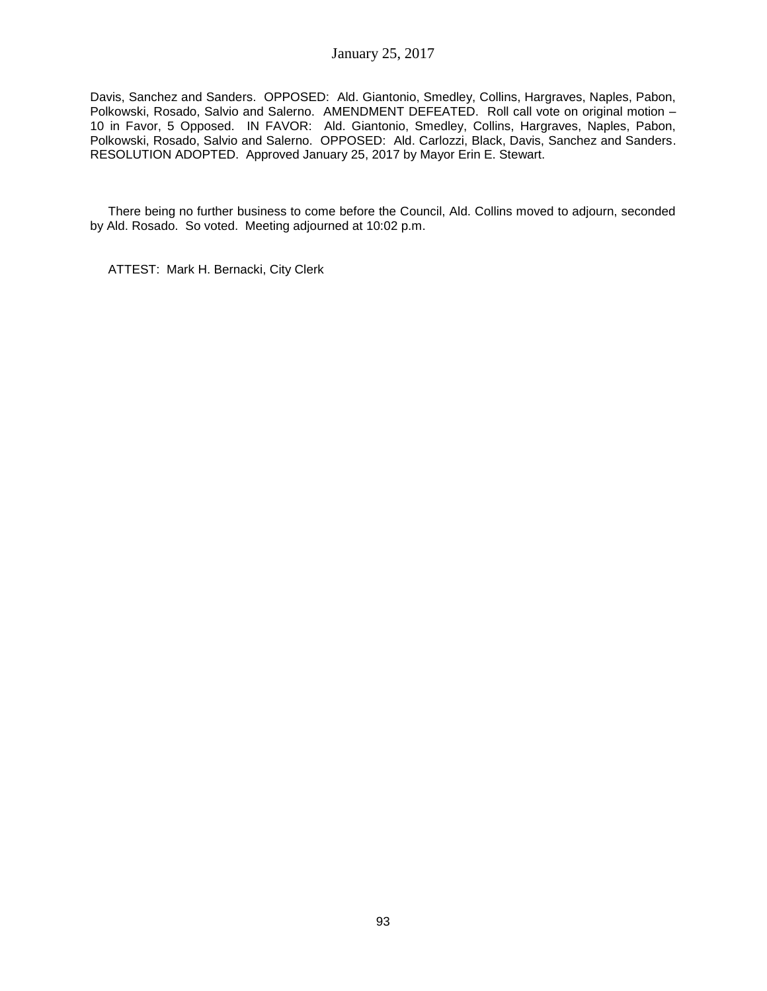Davis, Sanchez and Sanders. OPPOSED: Ald. Giantonio, Smedley, Collins, Hargraves, Naples, Pabon, Polkowski, Rosado, Salvio and Salerno. AMENDMENT DEFEATED. Roll call vote on original motion – 10 in Favor, 5 Opposed. IN FAVOR: Ald. Giantonio, Smedley, Collins, Hargraves, Naples, Pabon, Polkowski, Rosado, Salvio and Salerno. OPPOSED: Ald. Carlozzi, Black, Davis, Sanchez and Sanders. RESOLUTION ADOPTED. Approved January 25, 2017 by Mayor Erin E. Stewart.

There being no further business to come before the Council, Ald. Collins moved to adjourn, seconded by Ald. Rosado. So voted. Meeting adjourned at 10:02 p.m.

ATTEST: Mark H. Bernacki, City Clerk